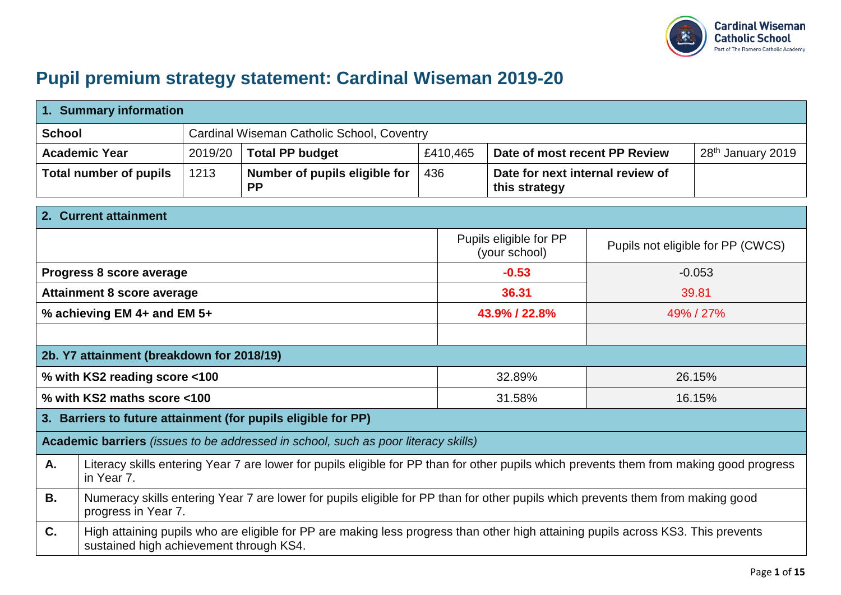

## **Pupil premium strategy statement: Cardinal Wiseman 2019-20**

|               | 1. Summary information                                                                                                                                                       |                                            |                                                                                                                                          |          |               |                                                   |           |                                   |
|---------------|------------------------------------------------------------------------------------------------------------------------------------------------------------------------------|--------------------------------------------|------------------------------------------------------------------------------------------------------------------------------------------|----------|---------------|---------------------------------------------------|-----------|-----------------------------------|
| <b>School</b> |                                                                                                                                                                              | Cardinal Wiseman Catholic School, Coventry |                                                                                                                                          |          |               |                                                   |           |                                   |
|               | <b>Academic Year</b>                                                                                                                                                         | 2019/20                                    | <b>Total PP budget</b>                                                                                                                   | £410,465 |               | Date of most recent PP Review                     |           | 28 <sup>th</sup> January 2019     |
|               | <b>Total number of pupils</b>                                                                                                                                                | 1213                                       | Number of pupils eligible for<br><b>PP</b>                                                                                               | 436      |               | Date for next internal review of<br>this strategy |           |                                   |
|               | 2. Current attainment                                                                                                                                                        |                                            |                                                                                                                                          |          |               |                                                   |           |                                   |
|               |                                                                                                                                                                              |                                            |                                                                                                                                          |          |               | Pupils eligible for PP<br>(your school)           |           | Pupils not eligible for PP (CWCS) |
|               | Progress 8 score average                                                                                                                                                     |                                            |                                                                                                                                          |          | $-0.53$       |                                                   |           | $-0.053$                          |
|               | <b>Attainment 8 score average</b>                                                                                                                                            |                                            |                                                                                                                                          |          | 36.31         |                                                   | 39.81     |                                   |
|               | % achieving EM 4+ and EM 5+                                                                                                                                                  |                                            |                                                                                                                                          |          | 43.9% / 22.8% |                                                   | 49% / 27% |                                   |
|               |                                                                                                                                                                              |                                            |                                                                                                                                          |          |               |                                                   |           |                                   |
|               | 2b. Y7 attainment (breakdown for 2018/19)                                                                                                                                    |                                            |                                                                                                                                          |          |               |                                                   |           |                                   |
|               | % with KS2 reading score <100                                                                                                                                                |                                            |                                                                                                                                          |          |               | 32.89%<br>26.15%                                  |           |                                   |
|               | % with KS2 maths score <100                                                                                                                                                  |                                            |                                                                                                                                          |          |               | 31.58%<br>16.15%                                  |           |                                   |
|               |                                                                                                                                                                              |                                            | 3. Barriers to future attainment (for pupils eligible for PP)                                                                            |          |               |                                                   |           |                                   |
|               |                                                                                                                                                                              |                                            | Academic barriers (issues to be addressed in school, such as poor literacy skills)                                                       |          |               |                                                   |           |                                   |
| A.            | in Year 7.                                                                                                                                                                   |                                            | Literacy skills entering Year 7 are lower for pupils eligible for PP than for other pupils which prevents them from making good progress |          |               |                                                   |           |                                   |
| <b>B.</b>     | Numeracy skills entering Year 7 are lower for pupils eligible for PP than for other pupils which prevents them from making good<br>progress in Year 7.                       |                                            |                                                                                                                                          |          |               |                                                   |           |                                   |
| C.            | High attaining pupils who are eligible for PP are making less progress than other high attaining pupils across KS3. This prevents<br>sustained high achievement through KS4. |                                            |                                                                                                                                          |          |               |                                                   |           |                                   |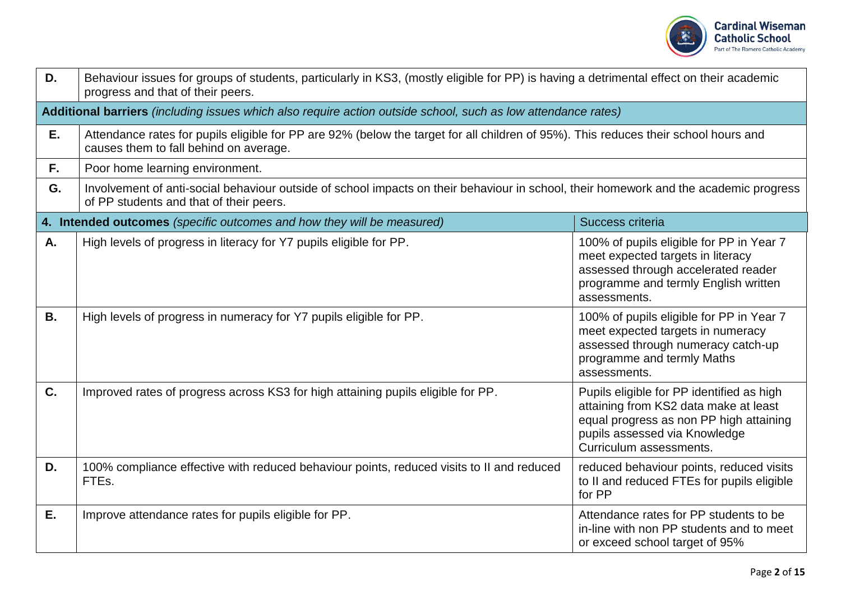

| D.        | Behaviour issues for groups of students, particularly in KS3, (mostly eligible for PP) is having a detrimental effect on their academic<br>progress and that of their peers.     |                                                                                                                                                                                           |  |  |  |  |
|-----------|----------------------------------------------------------------------------------------------------------------------------------------------------------------------------------|-------------------------------------------------------------------------------------------------------------------------------------------------------------------------------------------|--|--|--|--|
|           | Additional barriers (including issues which also require action outside school, such as low attendance rates)                                                                    |                                                                                                                                                                                           |  |  |  |  |
| Ε.        | Attendance rates for pupils eligible for PP are 92% (below the target for all children of 95%). This reduces their school hours and<br>causes them to fall behind on average.    |                                                                                                                                                                                           |  |  |  |  |
| F.,       | Poor home learning environment.                                                                                                                                                  |                                                                                                                                                                                           |  |  |  |  |
| G.        | Involvement of anti-social behaviour outside of school impacts on their behaviour in school, their homework and the academic progress<br>of PP students and that of their peers. |                                                                                                                                                                                           |  |  |  |  |
|           | 4. Intended outcomes (specific outcomes and how they will be measured)                                                                                                           | Success criteria                                                                                                                                                                          |  |  |  |  |
| A.        | High levels of progress in literacy for Y7 pupils eligible for PP.                                                                                                               | 100% of pupils eligible for PP in Year 7<br>meet expected targets in literacy<br>assessed through accelerated reader<br>programme and termly English written<br>assessments.              |  |  |  |  |
| <b>B.</b> | High levels of progress in numeracy for Y7 pupils eligible for PP.                                                                                                               | 100% of pupils eligible for PP in Year 7<br>meet expected targets in numeracy<br>assessed through numeracy catch-up<br>programme and termly Maths<br>assessments.                         |  |  |  |  |
| C.        | Improved rates of progress across KS3 for high attaining pupils eligible for PP.                                                                                                 | Pupils eligible for PP identified as high<br>attaining from KS2 data make at least<br>equal progress as non PP high attaining<br>pupils assessed via Knowledge<br>Curriculum assessments. |  |  |  |  |
| D.        | 100% compliance effective with reduced behaviour points, reduced visits to II and reduced<br>FTE <sub>s</sub> .                                                                  | reduced behaviour points, reduced visits<br>to II and reduced FTEs for pupils eligible<br>for PP                                                                                          |  |  |  |  |
| Е.        | Improve attendance rates for pupils eligible for PP.                                                                                                                             | Attendance rates for PP students to be<br>in-line with non PP students and to meet<br>or exceed school target of 95%                                                                      |  |  |  |  |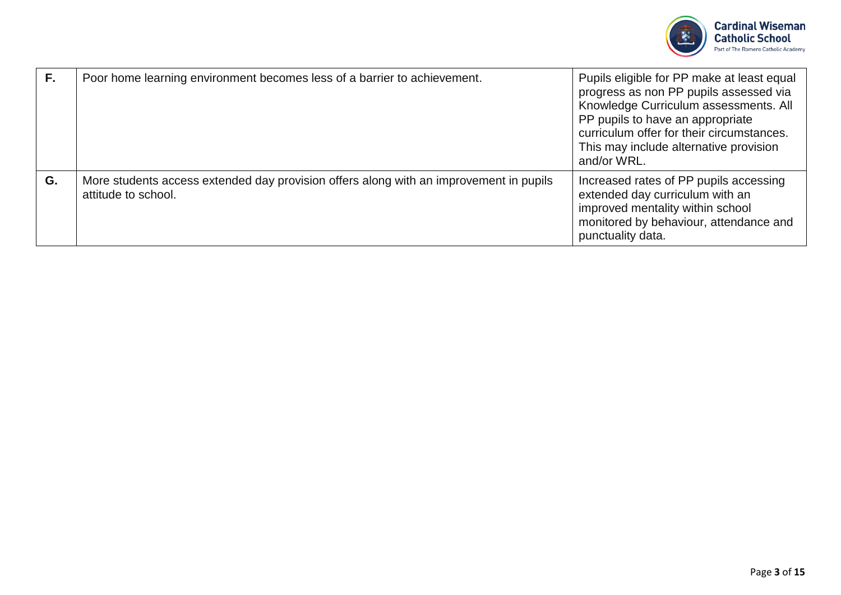

| F. | Poor home learning environment becomes less of a barrier to achievement.                                      | Pupils eligible for PP make at least equal<br>progress as non PP pupils assessed via<br>Knowledge Curriculum assessments. All<br>PP pupils to have an appropriate<br>curriculum offer for their circumstances.<br>This may include alternative provision<br>and/or WRL. |
|----|---------------------------------------------------------------------------------------------------------------|-------------------------------------------------------------------------------------------------------------------------------------------------------------------------------------------------------------------------------------------------------------------------|
| G. | More students access extended day provision offers along with an improvement in pupils<br>attitude to school. | Increased rates of PP pupils accessing<br>extended day curriculum with an<br>improved mentality within school<br>monitored by behaviour, attendance and<br>punctuality data.                                                                                            |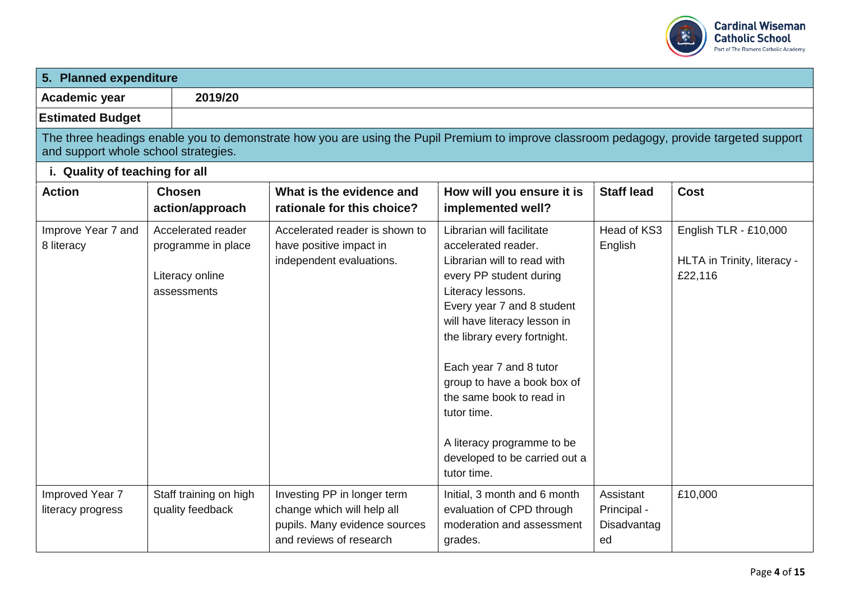

| 5. Planned expenditure               |                                                                            |                                                                                                                                          |                                                                                                                                                                                                                                                                                                                                                                                                                  |                                               |                                                                 |
|--------------------------------------|----------------------------------------------------------------------------|------------------------------------------------------------------------------------------------------------------------------------------|------------------------------------------------------------------------------------------------------------------------------------------------------------------------------------------------------------------------------------------------------------------------------------------------------------------------------------------------------------------------------------------------------------------|-----------------------------------------------|-----------------------------------------------------------------|
| Academic year                        | 2019/20                                                                    |                                                                                                                                          |                                                                                                                                                                                                                                                                                                                                                                                                                  |                                               |                                                                 |
| <b>Estimated Budget</b>              |                                                                            |                                                                                                                                          |                                                                                                                                                                                                                                                                                                                                                                                                                  |                                               |                                                                 |
| and support whole school strategies. |                                                                            | The three headings enable you to demonstrate how you are using the Pupil Premium to improve classroom pedagogy, provide targeted support |                                                                                                                                                                                                                                                                                                                                                                                                                  |                                               |                                                                 |
| i. Quality of teaching for all       |                                                                            |                                                                                                                                          |                                                                                                                                                                                                                                                                                                                                                                                                                  |                                               |                                                                 |
| <b>Action</b>                        | <b>Chosen</b><br>action/approach                                           | What is the evidence and<br>rationale for this choice?                                                                                   | How will you ensure it is<br>implemented well?                                                                                                                                                                                                                                                                                                                                                                   | <b>Staff lead</b>                             | <b>Cost</b>                                                     |
| Improve Year 7 and<br>8 literacy     | Accelerated reader<br>programme in place<br>Literacy online<br>assessments | Accelerated reader is shown to<br>have positive impact in<br>independent evaluations.                                                    | Librarian will facilitate<br>accelerated reader.<br>Librarian will to read with<br>every PP student during<br>Literacy lessons.<br>Every year 7 and 8 student<br>will have literacy lesson in<br>the library every fortnight.<br>Each year 7 and 8 tutor<br>group to have a book box of<br>the same book to read in<br>tutor time.<br>A literacy programme to be<br>developed to be carried out a<br>tutor time. | Head of KS3<br>English                        | English TLR - £10,000<br>HLTA in Trinity, literacy -<br>£22,116 |
| Improved Year 7<br>literacy progress | Staff training on high<br>quality feedback                                 | Investing PP in longer term<br>change which will help all<br>pupils. Many evidence sources<br>and reviews of research                    | Initial, 3 month and 6 month<br>evaluation of CPD through<br>moderation and assessment<br>grades.                                                                                                                                                                                                                                                                                                                | Assistant<br>Principal -<br>Disadvantag<br>ed | £10,000                                                         |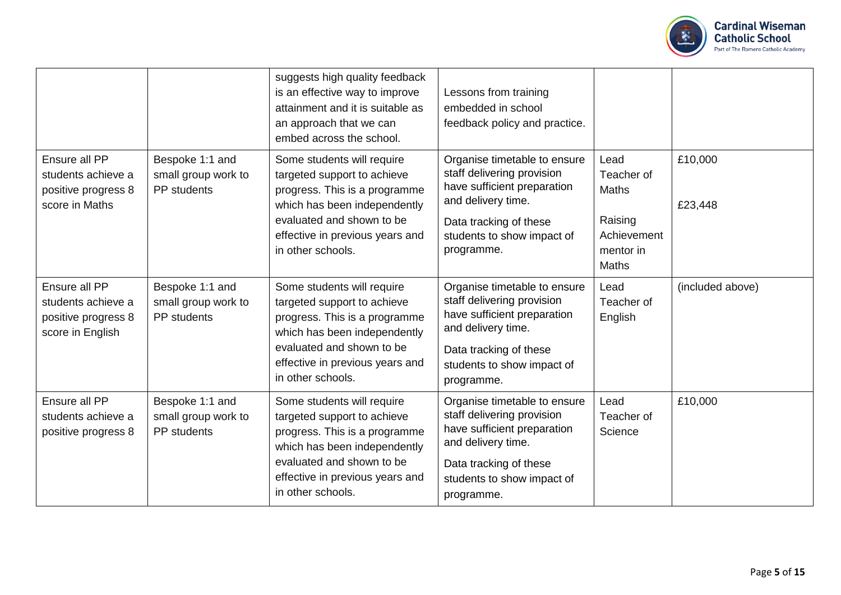

|                                                                                |                                                       | suggests high quality feedback<br>is an effective way to improve<br>attainment and it is suitable as<br>an approach that we can<br>embed across the school.                                                     | Lessons from training<br>embedded in school<br>feedback policy and practice.                                                                                                          |                                                                                           |                    |
|--------------------------------------------------------------------------------|-------------------------------------------------------|-----------------------------------------------------------------------------------------------------------------------------------------------------------------------------------------------------------------|---------------------------------------------------------------------------------------------------------------------------------------------------------------------------------------|-------------------------------------------------------------------------------------------|--------------------|
| Ensure all PP<br>students achieve a<br>positive progress 8<br>score in Maths   | Bespoke 1:1 and<br>small group work to<br>PP students | Some students will require<br>targeted support to achieve<br>progress. This is a programme<br>which has been independently<br>evaluated and shown to be<br>effective in previous years and<br>in other schools. | Organise timetable to ensure<br>staff delivering provision<br>have sufficient preparation<br>and delivery time.<br>Data tracking of these<br>students to show impact of<br>programme. | Lead<br>Teacher of<br><b>Maths</b><br>Raising<br>Achievement<br>mentor in<br><b>Maths</b> | £10,000<br>£23,448 |
| Ensure all PP<br>students achieve a<br>positive progress 8<br>score in English | Bespoke 1:1 and<br>small group work to<br>PP students | Some students will require<br>targeted support to achieve<br>progress. This is a programme<br>which has been independently<br>evaluated and shown to be<br>effective in previous years and<br>in other schools. | Organise timetable to ensure<br>staff delivering provision<br>have sufficient preparation<br>and delivery time.<br>Data tracking of these<br>students to show impact of<br>programme. | Lead<br>Teacher of<br>English                                                             | (included above)   |
| Ensure all PP<br>students achieve a<br>positive progress 8                     | Bespoke 1:1 and<br>small group work to<br>PP students | Some students will require<br>targeted support to achieve<br>progress. This is a programme<br>which has been independently<br>evaluated and shown to be<br>effective in previous years and<br>in other schools. | Organise timetable to ensure<br>staff delivering provision<br>have sufficient preparation<br>and delivery time.<br>Data tracking of these<br>students to show impact of<br>programme. | Lead<br>Teacher of<br>Science                                                             | £10,000            |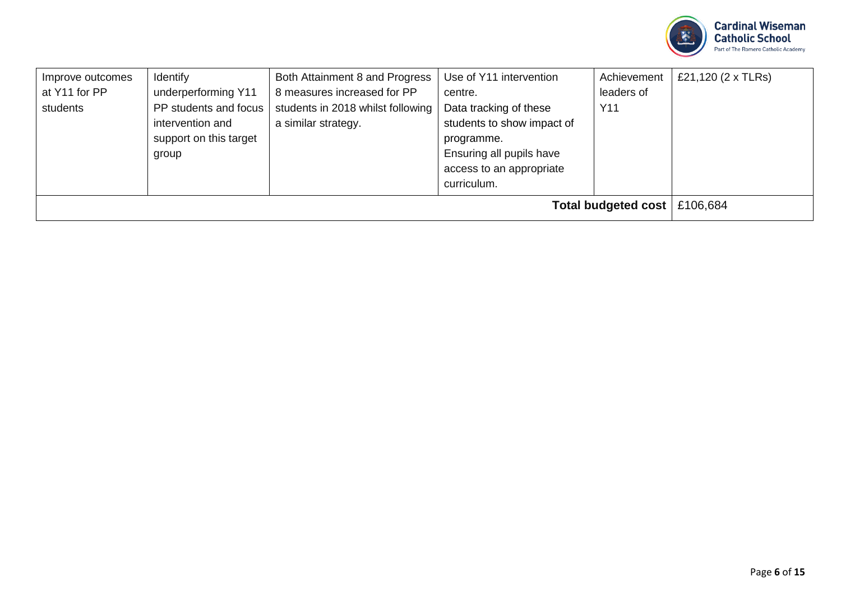

| Improve outcomes<br>at Y11 for PP<br>students | <b>Identify</b><br>underperforming Y11<br>PP students and focus<br>intervention and<br>support on this target | Both Attainment 8 and Progress<br>8 measures increased for PP<br>students in 2018 whilst following<br>a similar strategy. | Use of Y11 intervention<br>centre.<br>Data tracking of these<br>students to show impact of<br>programme. | Achievement<br>leaders of<br>Y11 | £21,120 $(2 \times$ TLRs) |
|-----------------------------------------------|---------------------------------------------------------------------------------------------------------------|---------------------------------------------------------------------------------------------------------------------------|----------------------------------------------------------------------------------------------------------|----------------------------------|---------------------------|
|                                               | group                                                                                                         |                                                                                                                           | Ensuring all pupils have<br>access to an appropriate<br>curriculum.                                      |                                  |                           |
|                                               | Total budgeted cost<br>£106,684                                                                               |                                                                                                                           |                                                                                                          |                                  |                           |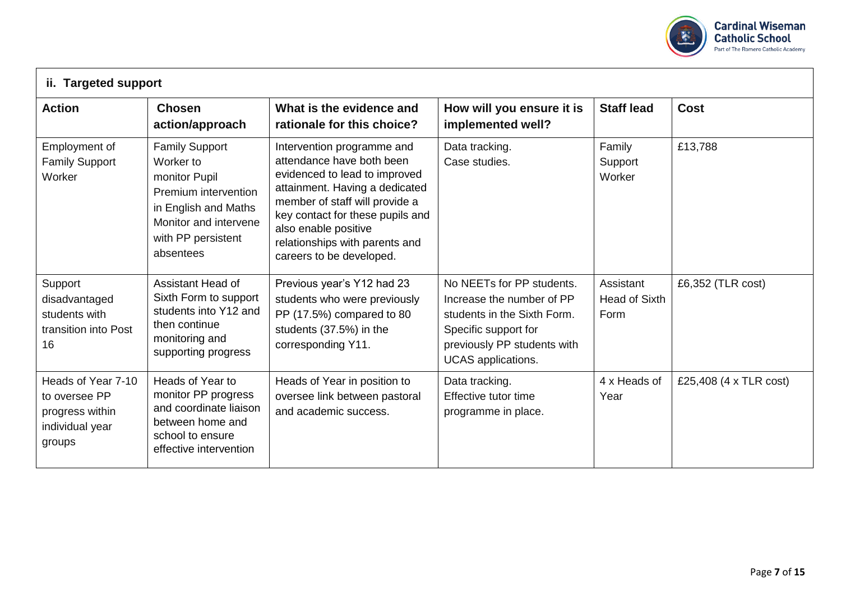

| ii. Targeted support                                                                |                                                                                                                                                                 |                                                                                                                                                                                                                                                                                        |                                                                                                                                                                           |                                    |                        |  |  |
|-------------------------------------------------------------------------------------|-----------------------------------------------------------------------------------------------------------------------------------------------------------------|----------------------------------------------------------------------------------------------------------------------------------------------------------------------------------------------------------------------------------------------------------------------------------------|---------------------------------------------------------------------------------------------------------------------------------------------------------------------------|------------------------------------|------------------------|--|--|
| <b>Action</b>                                                                       | <b>Chosen</b><br>action/approach                                                                                                                                | What is the evidence and<br>rationale for this choice?                                                                                                                                                                                                                                 | How will you ensure it is<br>implemented well?                                                                                                                            | <b>Staff lead</b>                  | <b>Cost</b>            |  |  |
| Employment of<br><b>Family Support</b><br>Worker                                    | <b>Family Support</b><br>Worker to<br>monitor Pupil<br>Premium intervention<br>in English and Maths<br>Monitor and intervene<br>with PP persistent<br>absentees | Intervention programme and<br>attendance have both been<br>evidenced to lead to improved<br>attainment. Having a dedicated<br>member of staff will provide a<br>key contact for these pupils and<br>also enable positive<br>relationships with parents and<br>careers to be developed. | Data tracking.<br>Case studies.                                                                                                                                           | Family<br>Support<br>Worker        | £13,788                |  |  |
| Support<br>disadvantaged<br>students with<br>transition into Post<br>16             | Assistant Head of<br>Sixth Form to support<br>students into Y12 and<br>then continue<br>monitoring and<br>supporting progress                                   | Previous year's Y12 had 23<br>students who were previously<br>PP (17.5%) compared to 80<br>students (37.5%) in the<br>corresponding Y11.                                                                                                                                               | No NEETs for PP students.<br>Increase the number of PP<br>students in the Sixth Form.<br>Specific support for<br>previously PP students with<br><b>UCAS</b> applications. | Assistant<br>Head of Sixth<br>Form | £6,352 (TLR cost)      |  |  |
| Heads of Year 7-10<br>to oversee PP<br>progress within<br>individual year<br>groups | Heads of Year to<br>monitor PP progress<br>and coordinate liaison<br>between home and<br>school to ensure<br>effective intervention                             | Heads of Year in position to<br>oversee link between pastoral<br>and academic success.                                                                                                                                                                                                 | Data tracking.<br>Effective tutor time<br>programme in place.                                                                                                             | 4 x Heads of<br>Year               | £25,408 (4 x TLR cost) |  |  |

 $\Gamma$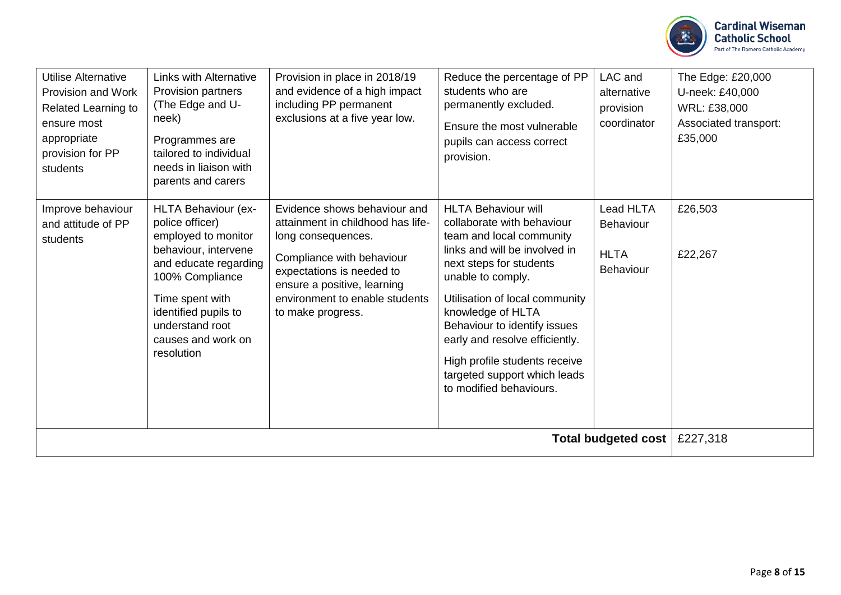

| <b>Utilise Alternative</b><br>Provision and Work<br>Related Learning to<br>ensure most<br>appropriate<br>provision for PP<br>students | <b>Links with Alternative</b><br>Provision partners<br>(The Edge and U-<br>neek)<br>Programmes are<br>tailored to individual<br>needs in liaison with<br>parents and carers                                                         | Provision in place in 2018/19<br>and evidence of a high impact<br>including PP permanent<br>exclusions at a five year low.                                                                                                              | Reduce the percentage of PP<br>students who are<br>permanently excluded.<br>Ensure the most vulnerable<br>pupils can access correct<br>provision.                                                                                                                                                                                                                                          | LAC and<br>alternative<br>provision<br>coordinator                                      | The Edge: £20,000<br>U-neek: £40,000<br>WRL: £38,000<br>Associated transport:<br>£35,000 |
|---------------------------------------------------------------------------------------------------------------------------------------|-------------------------------------------------------------------------------------------------------------------------------------------------------------------------------------------------------------------------------------|-----------------------------------------------------------------------------------------------------------------------------------------------------------------------------------------------------------------------------------------|--------------------------------------------------------------------------------------------------------------------------------------------------------------------------------------------------------------------------------------------------------------------------------------------------------------------------------------------------------------------------------------------|-----------------------------------------------------------------------------------------|------------------------------------------------------------------------------------------|
| Improve behaviour<br>and attitude of PP<br>students                                                                                   | HLTA Behaviour (ex-<br>police officer)<br>employed to monitor<br>behaviour, intervene<br>and educate regarding<br>100% Compliance<br>Time spent with<br>identified pupils to<br>understand root<br>causes and work on<br>resolution | Evidence shows behaviour and<br>attainment in childhood has life-<br>long consequences.<br>Compliance with behaviour<br>expectations is needed to<br>ensure a positive, learning<br>environment to enable students<br>to make progress. | <b>HLTA Behaviour will</b><br>collaborate with behaviour<br>team and local community<br>links and will be involved in<br>next steps for students<br>unable to comply.<br>Utilisation of local community<br>knowledge of HLTA<br>Behaviour to identify issues<br>early and resolve efficiently.<br>High profile students receive<br>targeted support which leads<br>to modified behaviours. | Lead HLTA<br><b>Behaviour</b><br><b>HLTA</b><br>Behaviour<br><b>Total budgeted cost</b> | £26,503<br>£22,267                                                                       |
|                                                                                                                                       | £227,318                                                                                                                                                                                                                            |                                                                                                                                                                                                                                         |                                                                                                                                                                                                                                                                                                                                                                                            |                                                                                         |                                                                                          |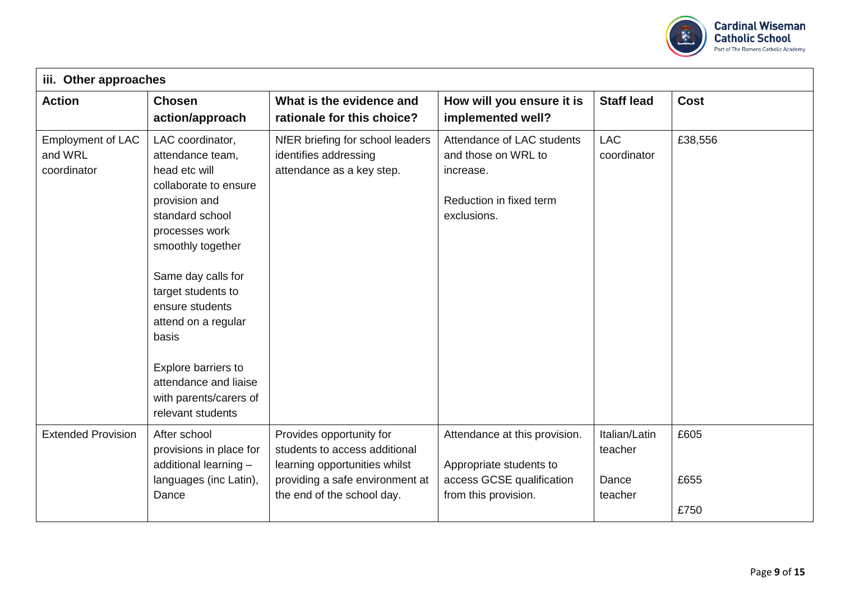

| Other approaches<br>iii.                           |                                                                                                                                                                                                                                                                                                                                                         |                                                                                                                                                             |                                                                                                               |                                              |                      |
|----------------------------------------------------|---------------------------------------------------------------------------------------------------------------------------------------------------------------------------------------------------------------------------------------------------------------------------------------------------------------------------------------------------------|-------------------------------------------------------------------------------------------------------------------------------------------------------------|---------------------------------------------------------------------------------------------------------------|----------------------------------------------|----------------------|
| <b>Action</b>                                      | <b>Chosen</b><br>action/approach                                                                                                                                                                                                                                                                                                                        | What is the evidence and<br>rationale for this choice?                                                                                                      | How will you ensure it is<br>implemented well?                                                                | <b>Staff lead</b>                            | <b>Cost</b>          |
| <b>Employment of LAC</b><br>and WRL<br>coordinator | LAC coordinator,<br>attendance team,<br>head etc will<br>collaborate to ensure<br>provision and<br>standard school<br>processes work<br>smoothly together<br>Same day calls for<br>target students to<br>ensure students<br>attend on a regular<br>basis<br>Explore barriers to<br>attendance and liaise<br>with parents/carers of<br>relevant students | NfER briefing for school leaders<br>identifies addressing<br>attendance as a key step.                                                                      | Attendance of LAC students<br>and those on WRL to<br>increase.<br>Reduction in fixed term<br>exclusions.      | <b>LAC</b><br>coordinator                    | £38,556              |
| <b>Extended Provision</b>                          | After school<br>provisions in place for<br>additional learning -<br>languages (inc Latin),<br>Dance                                                                                                                                                                                                                                                     | Provides opportunity for<br>students to access additional<br>learning opportunities whilst<br>providing a safe environment at<br>the end of the school day. | Attendance at this provision.<br>Appropriate students to<br>access GCSE qualification<br>from this provision. | Italian/Latin<br>teacher<br>Dance<br>teacher | £605<br>£655<br>£750 |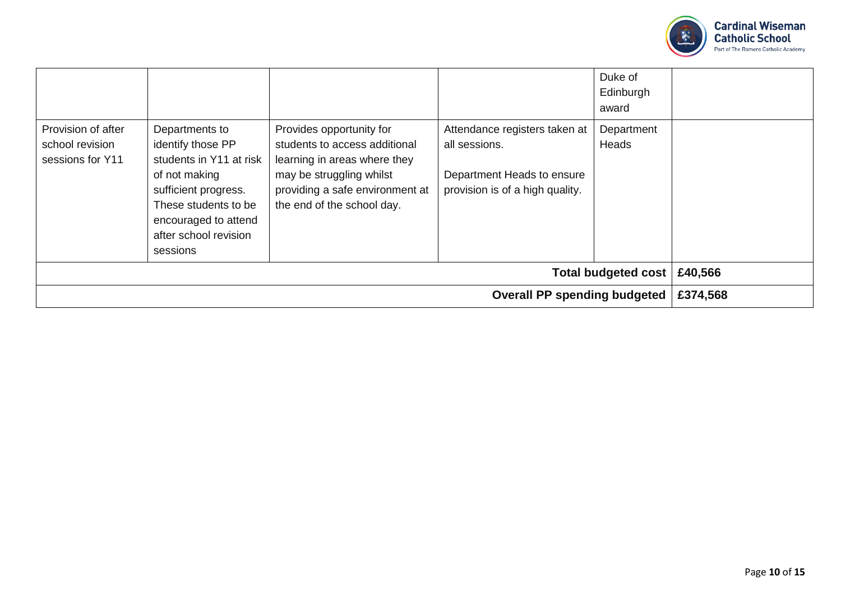

|                                                           |                                                                                                                                                                                              |                                                                                                                                                                                        |                                                                                                                 | Duke of<br>Edinburgh<br>award |  |  |
|-----------------------------------------------------------|----------------------------------------------------------------------------------------------------------------------------------------------------------------------------------------------|----------------------------------------------------------------------------------------------------------------------------------------------------------------------------------------|-----------------------------------------------------------------------------------------------------------------|-------------------------------|--|--|
| Provision of after<br>school revision<br>sessions for Y11 | Departments to<br>identify those PP<br>students in Y11 at risk<br>of not making<br>sufficient progress.<br>These students to be<br>encouraged to attend<br>after school revision<br>sessions | Provides opportunity for<br>students to access additional<br>learning in areas where they<br>may be struggling whilst<br>providing a safe environment at<br>the end of the school day. | Attendance registers taken at<br>all sessions.<br>Department Heads to ensure<br>provision is of a high quality. | Department<br>Heads           |  |  |
|                                                           | <b>Total budgeted cost</b><br>£40,566                                                                                                                                                        |                                                                                                                                                                                        |                                                                                                                 |                               |  |  |
|                                                           | <b>Overall PP spending budgeted</b>                                                                                                                                                          |                                                                                                                                                                                        |                                                                                                                 |                               |  |  |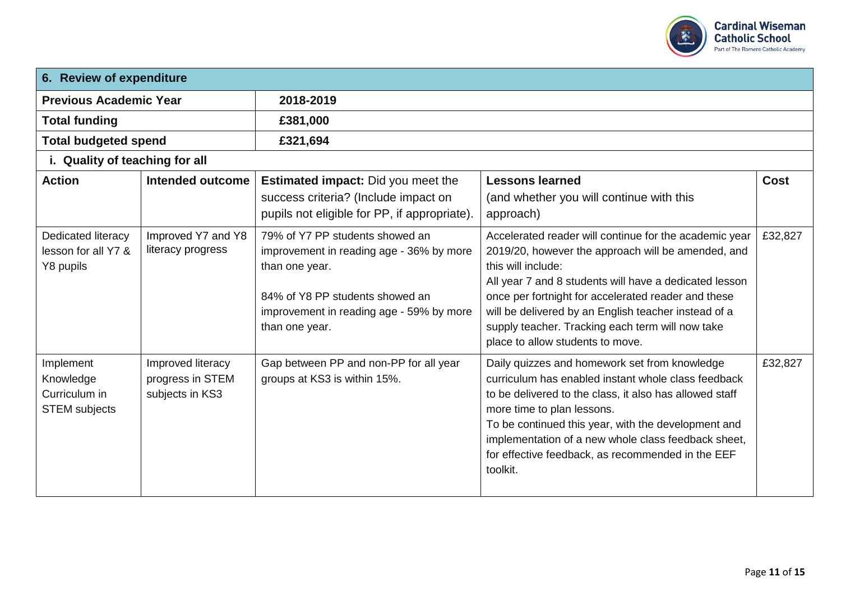

| 6. Review of expenditure                                        |                                                          |                                                                                                                                                                                                |                                                                                                                                                                                                                                                                                                                                                                                                     |             |  |  |
|-----------------------------------------------------------------|----------------------------------------------------------|------------------------------------------------------------------------------------------------------------------------------------------------------------------------------------------------|-----------------------------------------------------------------------------------------------------------------------------------------------------------------------------------------------------------------------------------------------------------------------------------------------------------------------------------------------------------------------------------------------------|-------------|--|--|
| <b>Previous Academic Year</b>                                   |                                                          | 2018-2019                                                                                                                                                                                      |                                                                                                                                                                                                                                                                                                                                                                                                     |             |  |  |
| <b>Total funding</b>                                            |                                                          | £381,000                                                                                                                                                                                       |                                                                                                                                                                                                                                                                                                                                                                                                     |             |  |  |
| <b>Total budgeted spend</b>                                     |                                                          | £321,694                                                                                                                                                                                       |                                                                                                                                                                                                                                                                                                                                                                                                     |             |  |  |
| i. Quality of teaching for all                                  |                                                          |                                                                                                                                                                                                |                                                                                                                                                                                                                                                                                                                                                                                                     |             |  |  |
| <b>Action</b>                                                   | Intended outcome                                         | <b>Estimated impact:</b> Did you meet the<br>success criteria? (Include impact on<br>pupils not eligible for PP, if appropriate).                                                              | <b>Lessons learned</b><br>(and whether you will continue with this<br>approach)                                                                                                                                                                                                                                                                                                                     | <b>Cost</b> |  |  |
| Dedicated literacy<br>lesson for all Y7 &<br>Y8 pupils          | Improved Y7 and Y8<br>literacy progress                  | 79% of Y7 PP students showed an<br>improvement in reading age - 36% by more<br>than one year.<br>84% of Y8 PP students showed an<br>improvement in reading age - 59% by more<br>than one year. | Accelerated reader will continue for the academic year<br>2019/20, however the approach will be amended, and<br>this will include:<br>All year 7 and 8 students will have a dedicated lesson<br>once per fortnight for accelerated reader and these<br>will be delivered by an English teacher instead of a<br>supply teacher. Tracking each term will now take<br>place to allow students to move. | £32,827     |  |  |
| Implement<br>Knowledge<br>Curriculum in<br><b>STEM subjects</b> | Improved literacy<br>progress in STEM<br>subjects in KS3 | Gap between PP and non-PP for all year<br>groups at KS3 is within 15%.                                                                                                                         | Daily quizzes and homework set from knowledge<br>curriculum has enabled instant whole class feedback<br>to be delivered to the class, it also has allowed staff<br>more time to plan lessons.<br>To be continued this year, with the development and<br>implementation of a new whole class feedback sheet,<br>for effective feedback, as recommended in the EEF<br>toolkit.                        | £32,827     |  |  |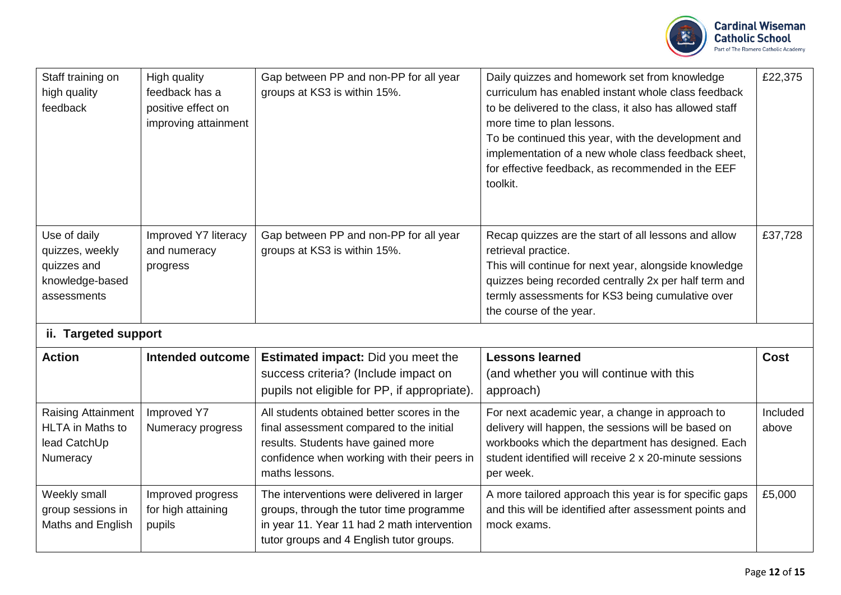

| Staff training on<br>high quality<br>feedback                                    | <b>High quality</b><br>feedback has a<br>positive effect on<br>improving attainment | Gap between PP and non-PP for all year<br>groups at KS3 is within 15%.                                                                                                                        | Daily quizzes and homework set from knowledge<br>curriculum has enabled instant whole class feedback<br>to be delivered to the class, it also has allowed staff<br>more time to plan lessons.<br>To be continued this year, with the development and<br>implementation of a new whole class feedback sheet,<br>for effective feedback, as recommended in the EEF<br>toolkit. | £22,375           |
|----------------------------------------------------------------------------------|-------------------------------------------------------------------------------------|-----------------------------------------------------------------------------------------------------------------------------------------------------------------------------------------------|------------------------------------------------------------------------------------------------------------------------------------------------------------------------------------------------------------------------------------------------------------------------------------------------------------------------------------------------------------------------------|-------------------|
| Use of daily<br>quizzes, weekly<br>quizzes and<br>knowledge-based<br>assessments | Improved Y7 literacy<br>and numeracy<br>progress                                    | Gap between PP and non-PP for all year<br>groups at KS3 is within 15%.                                                                                                                        | Recap quizzes are the start of all lessons and allow<br>retrieval practice.<br>This will continue for next year, alongside knowledge<br>quizzes being recorded centrally 2x per half term and<br>termly assessments for KS3 being cumulative over<br>the course of the year.                                                                                                 | £37,728           |
| ii. Targeted support                                                             |                                                                                     |                                                                                                                                                                                               |                                                                                                                                                                                                                                                                                                                                                                              |                   |
| <b>Action</b>                                                                    | Intended outcome                                                                    | <b>Estimated impact:</b> Did you meet the<br>success criteria? (Include impact on<br>pupils not eligible for PP, if appropriate).                                                             | <b>Lessons learned</b><br>(and whether you will continue with this<br>approach)                                                                                                                                                                                                                                                                                              | <b>Cost</b>       |
| Raising Attainment<br><b>HLTA</b> in Maths to<br>lead CatchUp<br>Numeracy        | Improved Y7<br>Numeracy progress                                                    | All students obtained better scores in the<br>final assessment compared to the initial<br>results. Students have gained more<br>confidence when working with their peers in<br>maths lessons. | For next academic year, a change in approach to<br>delivery will happen, the sessions will be based on<br>workbooks which the department has designed. Each<br>student identified will receive 2 x 20-minute sessions<br>per week.                                                                                                                                           | Included<br>above |
| Weekly small<br>group sessions in<br>Maths and English                           | Improved progress<br>for high attaining<br>pupils                                   | The interventions were delivered in larger<br>groups, through the tutor time programme<br>in year 11. Year 11 had 2 math intervention<br>tutor groups and 4 English tutor groups.             | A more tailored approach this year is for specific gaps<br>and this will be identified after assessment points and<br>mock exams.                                                                                                                                                                                                                                            | £5,000            |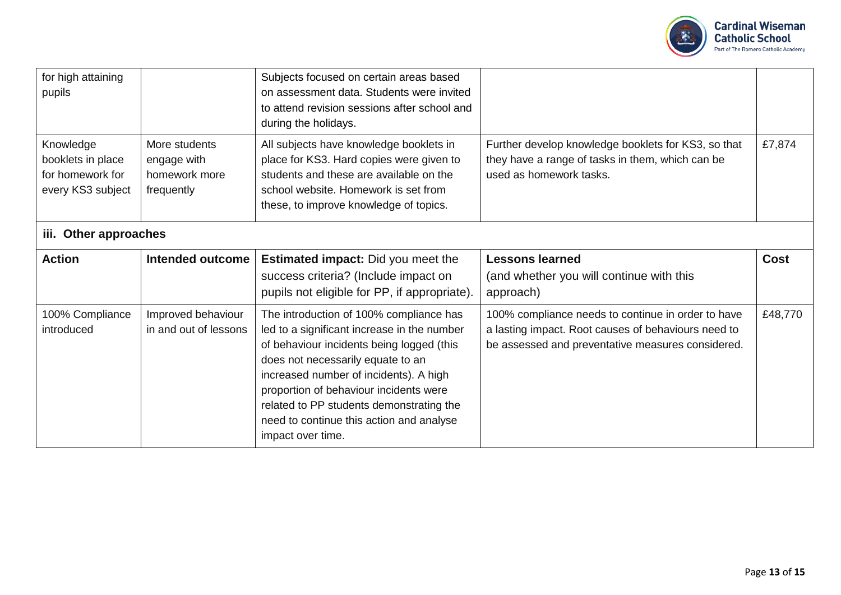

| for high attaining<br>pupils                                            |                                                             | Subjects focused on certain areas based<br>on assessment data. Students were invited<br>to attend revision sessions after school and<br>during the holidays.                                                                                                                                                                                                              |                                                                                                                                                                |             |  |  |  |  |
|-------------------------------------------------------------------------|-------------------------------------------------------------|---------------------------------------------------------------------------------------------------------------------------------------------------------------------------------------------------------------------------------------------------------------------------------------------------------------------------------------------------------------------------|----------------------------------------------------------------------------------------------------------------------------------------------------------------|-------------|--|--|--|--|
| Knowledge<br>booklets in place<br>for homework for<br>every KS3 subject | More students<br>engage with<br>homework more<br>frequently | All subjects have knowledge booklets in<br>place for KS3. Hard copies were given to<br>students and these are available on the<br>school website. Homework is set from<br>these, to improve knowledge of topics.                                                                                                                                                          | Further develop knowledge booklets for KS3, so that<br>they have a range of tasks in them, which can be<br>used as homework tasks.                             | £7,874      |  |  |  |  |
| iii. Other approaches                                                   |                                                             |                                                                                                                                                                                                                                                                                                                                                                           |                                                                                                                                                                |             |  |  |  |  |
| <b>Action</b>                                                           | Intended outcome                                            | <b>Estimated impact:</b> Did you meet the<br>success criteria? (Include impact on<br>pupils not eligible for PP, if appropriate).                                                                                                                                                                                                                                         | <b>Lessons learned</b><br>(and whether you will continue with this<br>approach)                                                                                | <b>Cost</b> |  |  |  |  |
| 100% Compliance<br>introduced                                           | Improved behaviour<br>in and out of lessons                 | The introduction of 100% compliance has<br>led to a significant increase in the number<br>of behaviour incidents being logged (this<br>does not necessarily equate to an<br>increased number of incidents). A high<br>proportion of behaviour incidents were<br>related to PP students demonstrating the<br>need to continue this action and analyse<br>impact over time. | 100% compliance needs to continue in order to have<br>a lasting impact. Root causes of behaviours need to<br>be assessed and preventative measures considered. | £48,770     |  |  |  |  |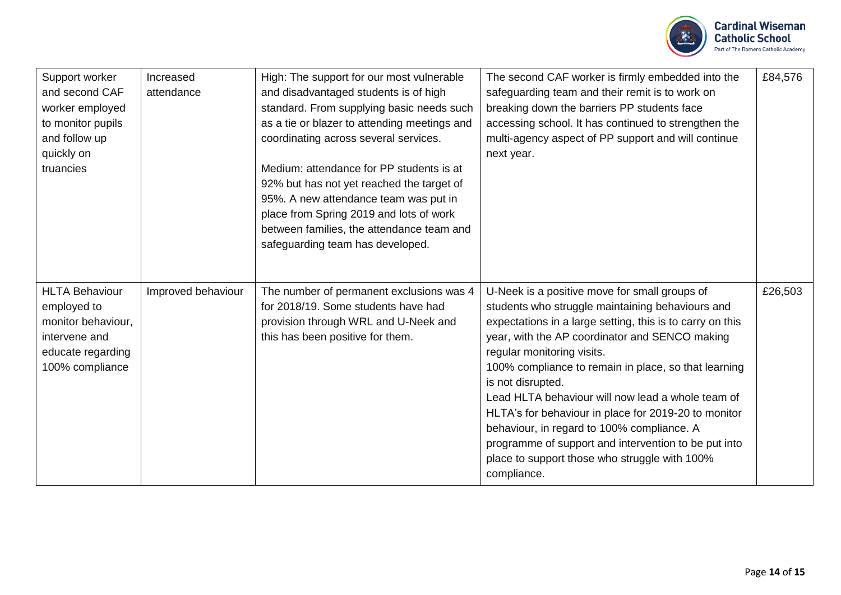

| Support worker<br>and second CAF<br>worker employed<br>to monitor pupils<br>and follow up<br>quickly on<br>truancies | Increased<br>attendance | High: The support for our most vulnerable<br>and disadvantaged students is of high<br>standard. From supplying basic needs such<br>as a tie or blazer to attending meetings and<br>coordinating across several services.<br>Medium: attendance for PP students is at<br>92% but has not yet reached the target of<br>95%. A new attendance team was put in<br>place from Spring 2019 and lots of work<br>between families, the attendance team and<br>safeguarding team has developed. | The second CAF worker is firmly embedded into the<br>safeguarding team and their remit is to work on<br>breaking down the barriers PP students face<br>accessing school. It has continued to strengthen the<br>multi-agency aspect of PP support and will continue<br>next year.                                                                                                                                                                                                                                                                                                                               | £84,576 |
|----------------------------------------------------------------------------------------------------------------------|-------------------------|----------------------------------------------------------------------------------------------------------------------------------------------------------------------------------------------------------------------------------------------------------------------------------------------------------------------------------------------------------------------------------------------------------------------------------------------------------------------------------------|----------------------------------------------------------------------------------------------------------------------------------------------------------------------------------------------------------------------------------------------------------------------------------------------------------------------------------------------------------------------------------------------------------------------------------------------------------------------------------------------------------------------------------------------------------------------------------------------------------------|---------|
| <b>HLTA Behaviour</b><br>employed to<br>monitor behaviour,<br>intervene and<br>educate regarding<br>100% compliance  | Improved behaviour      | The number of permanent exclusions was 4<br>for 2018/19. Some students have had<br>provision through WRL and U-Neek and<br>this has been positive for them.                                                                                                                                                                                                                                                                                                                            | U-Neek is a positive move for small groups of<br>students who struggle maintaining behaviours and<br>expectations in a large setting, this is to carry on this<br>year, with the AP coordinator and SENCO making<br>regular monitoring visits.<br>100% compliance to remain in place, so that learning<br>is not disrupted.<br>Lead HLTA behaviour will now lead a whole team of<br>HLTA's for behaviour in place for 2019-20 to monitor<br>behaviour, in regard to 100% compliance. A<br>programme of support and intervention to be put into<br>place to support those who struggle with 100%<br>compliance. | £26,503 |